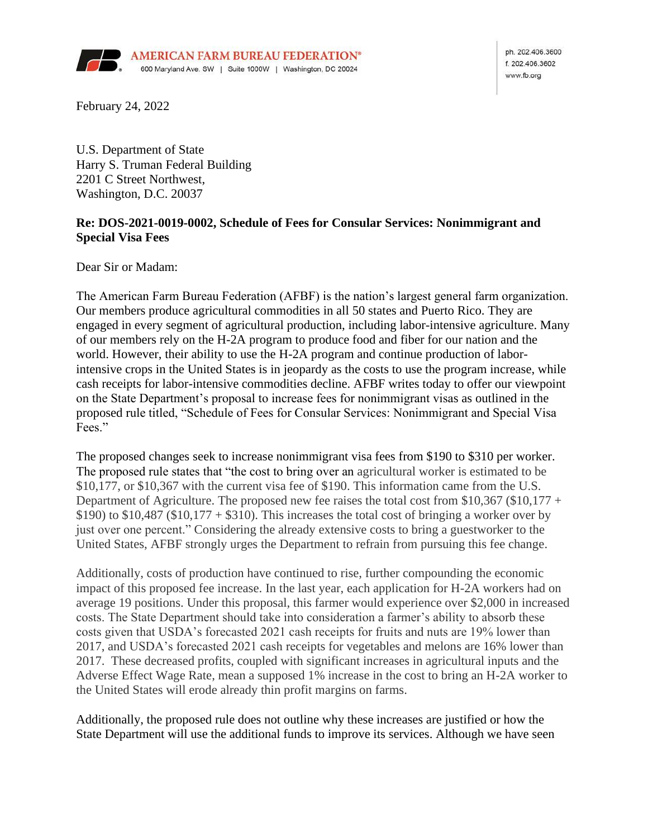

ph. 202.406.3600 £ 202,406,3602 www.fb.org

February 24, 2022

U.S. Department of State Harry S. Truman Federal Building 2201 C Street Northwest, Washington, D.C. 20037

## **Re: DOS-2021-0019-0002, Schedule of Fees for Consular Services: Nonimmigrant and Special Visa Fees**

Dear Sir or Madam:

The American Farm Bureau Federation (AFBF) is the nation's largest general farm organization. Our members produce agricultural commodities in all 50 states and Puerto Rico. They are engaged in every segment of agricultural production, including labor-intensive agriculture. Many of our members rely on the H-2A program to produce food and fiber for our nation and the world. However, their ability to use the H-2A program and continue production of laborintensive crops in the United States is in jeopardy as the costs to use the program increase, while cash receipts for labor-intensive commodities decline. AFBF writes today to offer our viewpoint on the State Department's proposal to increase fees for nonimmigrant visas as outlined in the proposed rule titled, "Schedule of Fees for Consular Services: Nonimmigrant and Special Visa Fees."

The proposed changes seek to increase nonimmigrant visa fees from \$190 to \$310 per worker. The proposed rule states that "the cost to bring over an agricultural worker is estimated to be \$10,177, or \$10,367 with the current visa fee of \$190. This information came from the U.S. Department of Agriculture. The proposed new fee raises the total cost from \$10,367 (\$10,177 + \$190) to \$10,487 (\$10,177 + \$310). This increases the total cost of bringing a worker over by just over one percent." Considering the already extensive costs to bring a guestworker to the United States, AFBF strongly urges the Department to refrain from pursuing this fee change.

Additionally, costs of production have continued to rise, further compounding the economic impact of this proposed fee increase. In the last year, each application for H-2A workers had on average 19 positions. Under this proposal, this farmer would experience over \$2,000 in increased costs. The State Department should take into consideration a farmer's ability to absorb these costs given that USDA's forecasted 2021 cash receipts for fruits and nuts are 19% lower than 2017, and USDA's forecasted 2021 cash receipts for vegetables and melons are 16% lower than 2017. These decreased profits, coupled with significant increases in agricultural inputs and the Adverse Effect Wage Rate, mean a supposed 1% increase in the cost to bring an H-2A worker to the United States will erode already thin profit margins on farms.

Additionally, the proposed rule does not outline why these increases are justified or how the State Department will use the additional funds to improve its services. Although we have seen